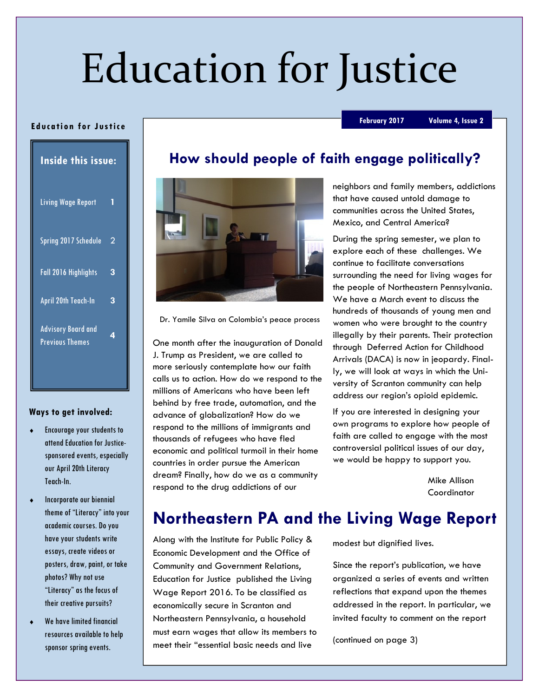# Education for Justice

#### Ed uca tion for Justice

February 2017 Volume 4, Issue 2

| <b>Inside this issue:</b>                           |   |
|-----------------------------------------------------|---|
| <b>Living Wage Report</b>                           | 1 |
| Spring 2017 Schedule                                | 2 |
| Fall 2016 Highlights                                | 3 |
| <b>April 20th Teach-In</b>                          | 3 |
| <b>Advisory Board and</b><br><b>Previous Themes</b> | 4 |

#### Ways to get involved:

- Encourage your students to attend Education for Justicesponsored events, especially our April 20th Literacy Teach-In.
- Incorporate our biennial theme of "Literacy" into your academic courses. Do you have your students write essays, create videos or posters, draw, paint, or take photos? Why not use "Literacy" as the focus of their creative pursuits?
- We have limited financial resources available to help sponsor spring events.

## How should people of faith engage politically?



Dr. Yamile Silva on Colombia's peace process

One month after the inauguration of Donald J. Trump as President, we are called to more seriously contemplate how our faith calls us to action. How do we respond to the millions of Americans who have been left behind by free trade, automation, and the advance of globalization? How do we respond to the millions of immigrants and thousands of refugees who have fled economic and political turmoil in their home countries in order pursue the American dream? Finally, how do we as a community respond to the drug addictions of our

neighbors and family members, addictions that have caused untold damage to communities across the United States, Mexico, and Central America?

During the spring semester, we plan to explore each of these challenges. We continue to facilitate conversations surrounding the need for living wages for the people of Northeastern Pennsylvania. We have a March event to discuss the hundreds of thousands of young men and women who were brought to the country illegally by their parents. Their protection through Deferred Action for Childhood Arrivals (DACA) is now in jeopardy. Finally, we will look at ways in which the University of Scranton community can help address our region's opioid epidemic.

If you are interested in designing your own programs to explore how people of faith are called to engage with the most controversial political issues of our day, we would be happy to support you.

> Mike Allison Coordinator

## Northeastern PA and the Living Wage Report

Along with the Institute for Public Policy & Economic Development and the Office of Community and Government Relations, Education for Justice published the Living Wage Report 2016. To be classified as economically secure in Scranton and Northeastern Pennsylvania, a household must earn wages that allow its members to meet their "essential basic needs and live

modest but dignified lives.

Since the report's publication, we have organized a series of events and written reflections that expand upon the themes addressed in the report. In particular, we invited faculty to comment on the report

(continued on page 3)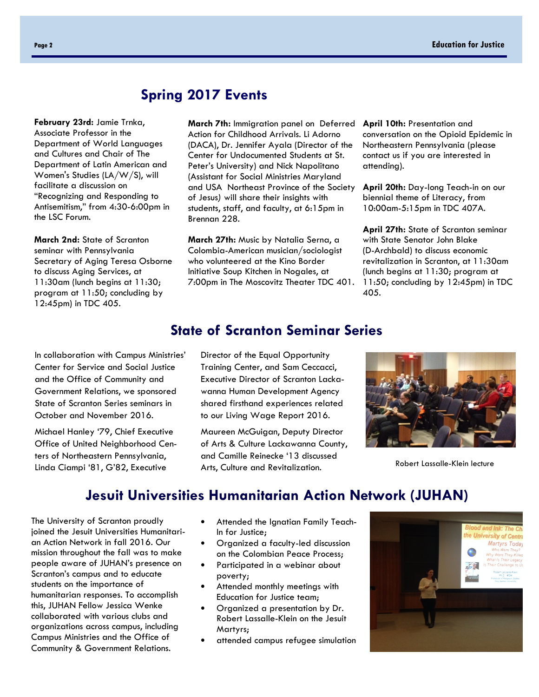## Spring 2017 Events

February 23rd: Jamie Trnka, Associate Professor in the Department of World Languages and Cultures and Chair of The Department of Latin American and Women's Studies (LA/W/S), will facilitate a discussion on "Recognizing and Responding to Antisemitism," from 4:30-6:00pm in the LSC Forum.

March 2nd: State of Scranton seminar with Pennsylvania Secretary of Aging Teresa Osborne to discuss Aging Services, at 11:30am (lunch begins at 11:30; program at 11:50; concluding by 12:45pm) in TDC 405.

March 7th: Immigration panel on Deferred April 10th: Presentation and Action for Childhood Arrivals. Li Adorno (DACA), Dr. Jennifer Ayala (Director of the Center for Undocumented Students at St. Peter's University) and Nick Napolitano (Assistant for Social Ministries Maryland and USA Northeast Province of the Society of Jesus) will share their insights with students, staff, and faculty, at 6:15pm in Brennan 228.

March 27th: Music by Natalia Serna, a Colombia-American musician/sociologist who volunteered at the Kino Border Initiative Soup Kitchen in Nogales, at 7:00pm in The Moscovitz Theater TDC 401. conversation on the Opioid Epidemic in Northeastern Pennsylvania (please contact us if you are interested in attending).

April 20th: Day-long Teach-in on our biennial theme of Literacy, from 10:00am-5:15pm in TDC 407A.

April 27th: State of Scranton seminar with State Senator John Blake (D-Archbald) to discuss economic revitalization in Scranton, at 11:30am (lunch begins at 11:30; program at 11:50; concluding by 12:45pm) in TDC 405.

### State of Scranton Seminar Series

In collaboration with Campus Ministries' Center for Service and Social Justice and the Office of Community and Government Relations, we sponsored State of Scranton Series seminars in October and November 2016.

Michael Hanley '79, Chief Executive Office of United Neighborhood Centers of Northeastern Pennsylvania, Linda Ciampi '81, G'82, Executive

Director of the Equal Opportunity Training Center, and Sam Ceccacci, Executive Director of Scranton Lackawanna Human Development Agency shared firsthand experiences related to our Living Wage Report 2016.

Maureen McGuigan, Deputy Director of Arts & Culture Lackawanna County, and Camille Reinecke '13 discussed Arts, Culture and Revitalization.



Robert Lassalle-Klein lecture

## Jesuit Universities Humanitarian Action Network (JUHAN)

The University of Scranton proudly joined the Jesuit Universities Humanitarian Action Network in fall 2016. Our mission throughout the fall was to make people aware of JUHAN's presence on Scranton's campus and to educate students on the importance of humanitarian responses. To accomplish this, JUHAN Fellow Jessica Wenke collaborated with various clubs and organizations across campus, including Campus Ministries and the Office of Community & Government Relations.

- Attended the Ignatian Family Teach-In for Justice;
- Organized a faculty-led discussion on the Colombian Peace Process;
- Participated in a webinar about poverty;
- Attended monthly meetings with Education for Justice team;
- Organized a presentation by Dr. Robert Lassalle-Klein on the Jesuit Martyrs;
- attended campus refugee simulation

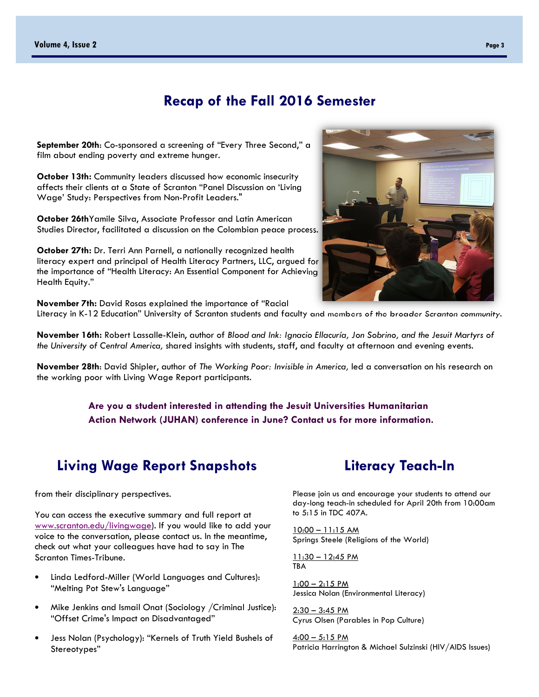### Recap of the Fall 2016 Semester

September 20th: Co-sponsored a screening of "Every Three Second," a film about ending poverty and extreme hunger.

October 13th: Community leaders discussed how economic insecurity affects their clients at a State of Scranton "Panel Discussion on 'Living Wage' Study: Perspectives from Non-Profit Leaders."

October 26thYamile Silva, Associate Professor and Latin American Studies Director, facilitated a discussion on the Colombian peace process.

October 27th: Dr. Terri Ann Parnell, a nationally recognized health literacy expert and principal of Health Literacy Partners, LLC, argued for the importance of "Health Literacy: An Essential Component for Achieving Health Equity."

November 7th: David Rosas explained the importance of "Racial Literacy in K-12 Education" University of Scranton students and faculty and members of the broader Scranton community.

November 16th: Robert Lassalle-Klein, author of Blood and Ink: Ignacio Ellacuría, Jon Sobrino, and the Jesuit Martyrs of the University of Central America, shared insights with students, staff, and faculty at afternoon and evening events.

November 28th: David Shipler, author of The Working Poor: Invisible in America, led a conversation on his research on the working poor with Living Wage Report participants.

> Are you a student interested in attending the Jesuit Universities Humanitarian Action Network (JUHAN) conference in June? Contact us for more information.

## Living Wage Report Snapshots

from their disciplinary perspectives.

You can access the executive summary and full report at www.scranton.edu/livingwage). If you would like to add your voice to the conversation, please contact us. In the meantime, check out what your colleagues have had to say in The Scranton Times-Tribune.

- Linda Ledford-Miller (World Languages and Cultures): "Melting Pot Stew's Language"
- Mike Jenkins and Ismail Onat (Sociology /Criminal Justice): "Offset Crime's Impact on Disadvantaged"
- Jess Nolan (Psychology): "Kernels of Truth Yield Bushels of Stereotypes"

#### Please join us and encourage your students to attend our day-long teach-in scheduled for April 20th from 10:00am to 5:15 in TDC 407A.

Literacy Teach-In

10:00 – 11:15 AM Springs Steele (Religions of the World)

11:30 – 12:45 PM TBA

 $1:00 - 2:15$  PM Jessica Nolan (Environmental Literacy)

2:30 – 3:45 PM Cyrus Olsen (Parables in Pop Culture)

 $4:00 - 5:15$  PM Patricia Harrington & Michael Sulzinski (HIV/AIDS Issues)